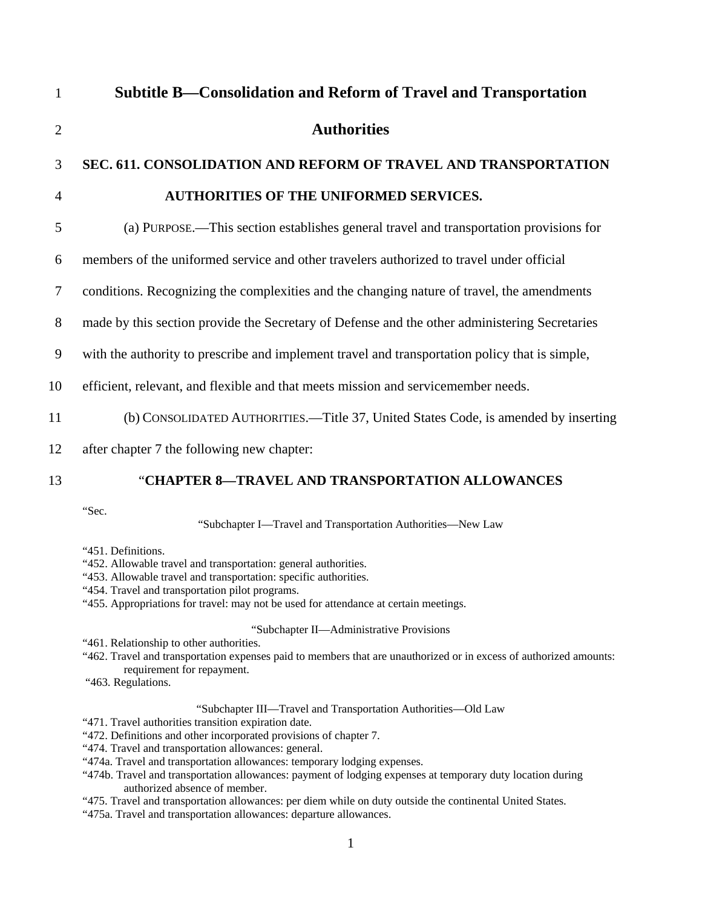| $\mathbf{1}$   | Subtitle B—Consolidation and Reform of Travel and Transportation                               |
|----------------|------------------------------------------------------------------------------------------------|
| $\overline{2}$ | <b>Authorities</b>                                                                             |
| 3              | SEC. 611. CONSOLIDATION AND REFORM OF TRAVEL AND TRANSPORTATION                                |
| 4              | <b>AUTHORITIES OF THE UNIFORMED SERVICES.</b>                                                  |
| 5              | (a) PURPOSE.—This section establishes general travel and transportation provisions for         |
| 6              | members of the uniformed service and other travelers authorized to travel under official       |
| 7              | conditions. Recognizing the complexities and the changing nature of travel, the amendments     |
| 8              | made by this section provide the Secretary of Defense and the other administering Secretaries  |
| 9              | with the authority to prescribe and implement travel and transportation policy that is simple, |
| 10             | efficient, relevant, and flexible and that meets mission and servicemember needs.              |
| 11             | (b) CONSOLIDATED AUTHORITIES.—Title 37, United States Code, is amended by inserting            |
| 12             | after chapter 7 the following new chapter:                                                     |
| 13             | "CHAPTER 8-TRAVEL AND TRANSPORTATION ALLOWANCES                                                |
|                | "Sec.                                                                                          |

"Subchapter I—Travel and Transportation Authorities—New Law

"451. Definitions.

- "452. Allowable travel and transportation: general authorities.
- "453. Allowable travel and transportation: specific authorities.
- "454. Travel and transportation pilot programs.
- "455. Appropriations for travel: may not be used for attendance at certain meetings.

## "Subchapter II—Administrative Provisions

- "461. Relationship to other authorities.
- "462. Travel and transportation expenses paid to members that are unauthorized or in excess of authorized amounts: requirement for repayment.
- "463. Regulations.

# "Subchapter III—Travel and Transportation Authorities—Old Law

- "471. Travel authorities transition expiration date.
- "472. Definitions and other incorporated provisions of chapter 7.
- ["474](http://www.law.cornell.edu/uscode/html/uscode37/usc_sec_37_00000404----000-.html). Travel and transportation allowances: general.
- ["474a.](http://www.law.cornell.edu/uscode/html/uscode37/usc_sec_37_00000404---a000-.html) Travel and transportation allowances: temporary lodging expenses.
- ["474b](http://www.law.cornell.edu/uscode/html/uscode37/usc_sec_37_00000404---b000-.html). Travel and transportation allowances: payment of lodging expenses at temporary duty location during authorized absence of member.
- ["475](http://www.law.cornell.edu/uscode/html/uscode37/usc_sec_37_00000405----000-.html). Travel and transportation allowances: per diem while on duty outside the continental United States.
- ["475a.](http://www.law.cornell.edu/uscode/html/uscode37/usc_sec_37_00000405---a000-.html) Travel and transportation allowances: departure allowances.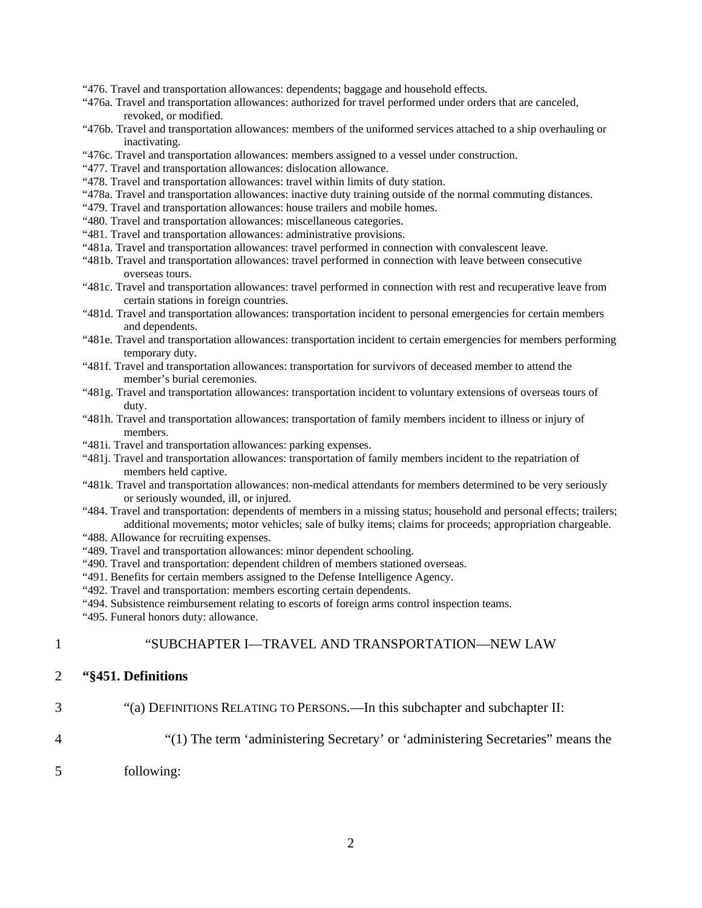["476](http://www.law.cornell.edu/uscode/html/uscode37/usc_sec_37_00000406----000-.html). Travel and transportation allowances: dependents; baggage and household effects.

- ["476a.](http://www.law.cornell.edu/uscode/html/uscode37/usc_sec_37_00000406---a000-.html) Travel and transportation allowances: authorized for travel performed under orders that are canceled, revoked, or modified.
- ["476b](http://www.law.cornell.edu/uscode/html/uscode37/usc_sec_37_00000406---b000-.html). Travel and transportation allowances: members of the uniformed services attached to a ship overhauling or inactivating.
- ["476c.](http://www.law.cornell.edu/uscode/html/uscode37/usc_sec_37_00000406---c000-.html) Travel and transportation allowances: members assigned to a vessel under construction.
- ["477](http://www.law.cornell.edu/uscode/html/uscode37/usc_sec_37_00000407----000-.html). Travel and transportation allowances: dislocation allowance.
- ["478](http://www.law.cornell.edu/uscode/html/uscode37/usc_sec_37_00000408----000-.html). Travel and transportation allowances: travel within limits of duty station.
- ["478](http://www.law.cornell.edu/uscode/html/uscode37/usc_sec_37_00000408----000-.html)a. Travel and transportation allowances: inactive duty training outside of the normal commuting distances.
- ["479](http://www.law.cornell.edu/uscode/html/uscode37/usc_sec_37_00000409----000-.html). Travel and transportation allowances: house trailers and mobile homes.
- ["480](http://www.law.cornell.edu/uscode/html/uscode37/usc_sec_37_00000410----000-.html). Travel and transportation allowances: miscellaneous categories.
- ["481](http://www.law.cornell.edu/uscode/html/uscode37/usc_sec_37_00000411----000-.html). Travel and transportation allowances: administrative provisions.
- ["481a.](http://www.law.cornell.edu/uscode/html/uscode37/usc_sec_37_00000411---a000-.html) Travel and transportation allowances: travel performed in connection with convalescent leave.
- ["481b](http://www.law.cornell.edu/uscode/html/uscode37/usc_sec_37_00000411---b000-.html). Travel and transportation allowances: travel performed in connection with leave between consecutive overseas tours.
- ["481c.](http://www.law.cornell.edu/uscode/html/uscode37/usc_sec_37_00000411---c000-.html) Travel and transportation allowances: travel performed in connection with rest and recuperative leave from certain stations in foreign countries.
- ["481d](http://www.law.cornell.edu/uscode/html/uscode37/usc_sec_37_00000411---d000-.html). Travel and transportation allowances: transportation incident to personal emergencies for certain members and dependents.
- ["481e.](http://www.law.cornell.edu/uscode/html/uscode37/usc_sec_37_00000411---e000-.html) Travel and transportation allowances: transportation incident to certain emergencies for members performing temporary duty.
- ["481f.](http://www.law.cornell.edu/uscode/html/uscode37/usc_sec_37_00000411---f000-.html) Travel and transportation allowances: transportation for survivors of deceased member to attend the member's burial ceremonies.
- ["481g](http://www.law.cornell.edu/uscode/html/uscode37/usc_sec_37_00000411---g000-.html). Travel and transportation allowances: transportation incident to voluntary extensions of overseas tours of duty.
- ["481h](http://www.law.cornell.edu/uscode/html/uscode37/usc_sec_37_00000411---h000-.html). Travel and transportation allowances: transportation of family members incident to illness or injury of members.
- ["481i](http://www.law.cornell.edu/uscode/html/uscode37/usc_sec_37_00000411---i000-.html). Travel and transportation allowances: parking expenses.
- ["481j](http://www.law.cornell.edu/uscode/html/uscode37/usc_sec_37_00000411---j000-.html). Travel and transportation allowances: transportation of family members incident to the repatriation of members held captive.
- ["481k](http://www.law.cornell.edu/uscode/html/uscode37/usc_sec_37_00000411---j000-.html). Travel and transportation allowances: non-medical attendants for members determined to be very seriously or seriously wounded, ill, or injured.
- "484. Travel and transportation: dependents of members in a missing status; household and personal effects; trailers; additional movements; motor vehicles; sale of bulky items; claims for proceeds; appropriation chargeable.
- ["488](http://www.law.cornell.edu/uscode/html/uscode37/usc_sec_37_00000428----000-.html). Allowance for recruiting expenses.
- ["489](http://www.law.cornell.edu/uscode/html/uscode37/usc_sec_37_00000429----000-.html). Travel and transportation allowances: minor dependent schooling.
- ["490](http://www.law.cornell.edu/uscode/html/uscode37/usc_sec_37_00000430----000-.html). Travel and transportation: dependent children of members stationed overseas.
- ["491](http://www.law.cornell.edu/uscode/html/uscode37/usc_sec_37_00000431----000-.html). Benefits for certain members assigned to the Defense Intelligence Agency.
- ["492](http://www.law.cornell.edu/uscode/html/uscode37/usc_sec_37_00000432----000-.html). Travel and transportation: members escorting certain dependents.
- ["494](http://www.law.cornell.edu/uscode/html/uscode37/usc_sec_37_00000434----000-.html). Subsistence reimbursement relating to escorts of foreign arms control inspection teams.
- ["495](http://www.law.cornell.edu/uscode/html/uscode37/usc_sec_37_00000435----000-.html). Funeral honors duty: allowance.

#### 1 "SUBCHAPTER I—TRAVEL AND TRANSPORTATION—NEW LAW

#### 2 **"§451. Definitions**

- 3
- "(a) DEFINITIONS RELATING TO PERSONS.—In this subchapter and subchapter II:
- 4

"(1) The term 'administering Secretary' or 'administering Secretaries" means the

5 following: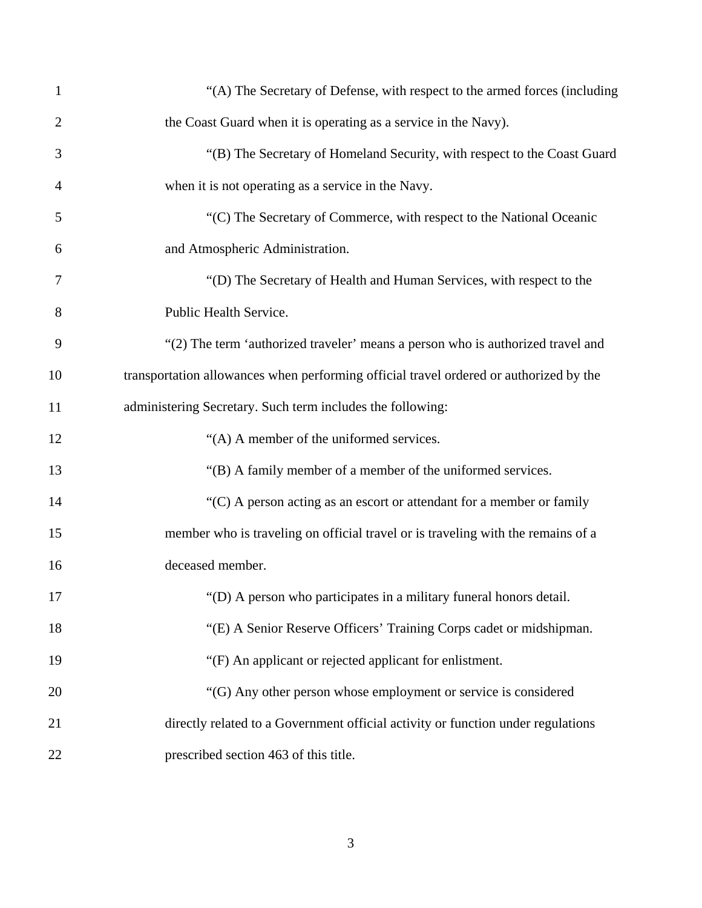| $\mathbf{1}$   | "(A) The Secretary of Defense, with respect to the armed forces (including             |
|----------------|----------------------------------------------------------------------------------------|
| $\overline{2}$ | the Coast Guard when it is operating as a service in the Navy).                        |
| 3              | "(B) The Secretary of Homeland Security, with respect to the Coast Guard               |
| $\overline{4}$ | when it is not operating as a service in the Navy.                                     |
| 5              | "(C) The Secretary of Commerce, with respect to the National Oceanic                   |
| 6              | and Atmospheric Administration.                                                        |
| 7              | "(D) The Secretary of Health and Human Services, with respect to the                   |
| 8              | Public Health Service.                                                                 |
| 9              | "(2) The term 'authorized traveler' means a person who is authorized travel and        |
| 10             | transportation allowances when performing official travel ordered or authorized by the |
| 11             | administering Secretary. Such term includes the following:                             |
| 12             | "(A) A member of the uniformed services.                                               |
| 13             | "(B) A family member of a member of the uniformed services.                            |
| 14             | $C$ A person acting as an escort or attendant for a member or family                   |
| 15             | member who is traveling on official travel or is traveling with the remains of a       |
| 16             | deceased member.                                                                       |
| 17             | "(D) A person who participates in a military funeral honors detail.                    |
| 18             | "(E) A Senior Reserve Officers' Training Corps cadet or midshipman.                    |
| 19             | "(F) An applicant or rejected applicant for enlistment.                                |
| 20             | "(G) Any other person whose employment or service is considered                        |
| 21             | directly related to a Government official activity or function under regulations       |
| 22             | prescribed section 463 of this title.                                                  |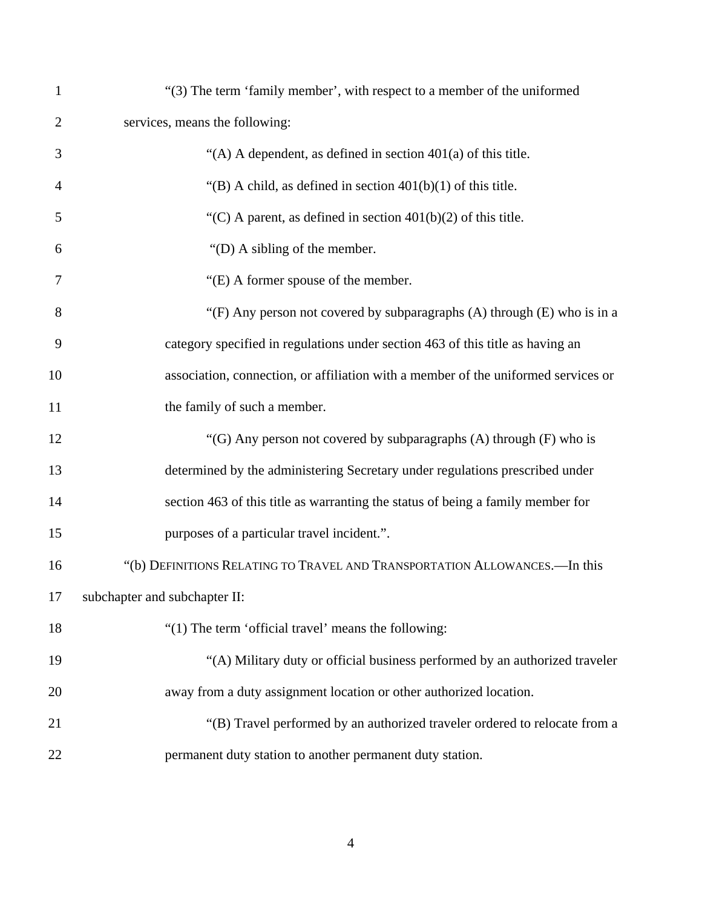| $\mathbf{1}$   | "(3) The term 'family member', with respect to a member of the uniformed           |
|----------------|------------------------------------------------------------------------------------|
| $\overline{2}$ | services, means the following:                                                     |
| 3              | "(A) A dependent, as defined in section $401(a)$ of this title.                    |
| $\overline{4}$ | "(B) A child, as defined in section $401(b)(1)$ of this title.                     |
| 5              | "(C) A parent, as defined in section $401(b)(2)$ of this title.                    |
| 6              | "(D) A sibling of the member.                                                      |
| 7              | "(E) A former spouse of the member.                                                |
| 8              | "(F) Any person not covered by subparagraphs $(A)$ through $(E)$ who is in a       |
| 9              | category specified in regulations under section 463 of this title as having an     |
| 10             | association, connection, or affiliation with a member of the uniformed services or |
| 11             | the family of such a member.                                                       |
| 12             | "(G) Any person not covered by subparagraphs $(A)$ through $(F)$ who is            |
| 13             | determined by the administering Secretary under regulations prescribed under       |
| 14             | section 463 of this title as warranting the status of being a family member for    |
| 15             | purposes of a particular travel incident.".                                        |
| 16             | "(b) DEFINITIONS RELATING TO TRAVEL AND TRANSPORTATION ALLOWANCES.-In this         |
| 17             | subchapter and subchapter II:                                                      |
| 18             | "(1) The term 'official travel' means the following:                               |
| 19             | "(A) Military duty or official business performed by an authorized traveler        |
| 20             | away from a duty assignment location or other authorized location.                 |
| 21             | "(B) Travel performed by an authorized traveler ordered to relocate from a         |
| 22             | permanent duty station to another permanent duty station.                          |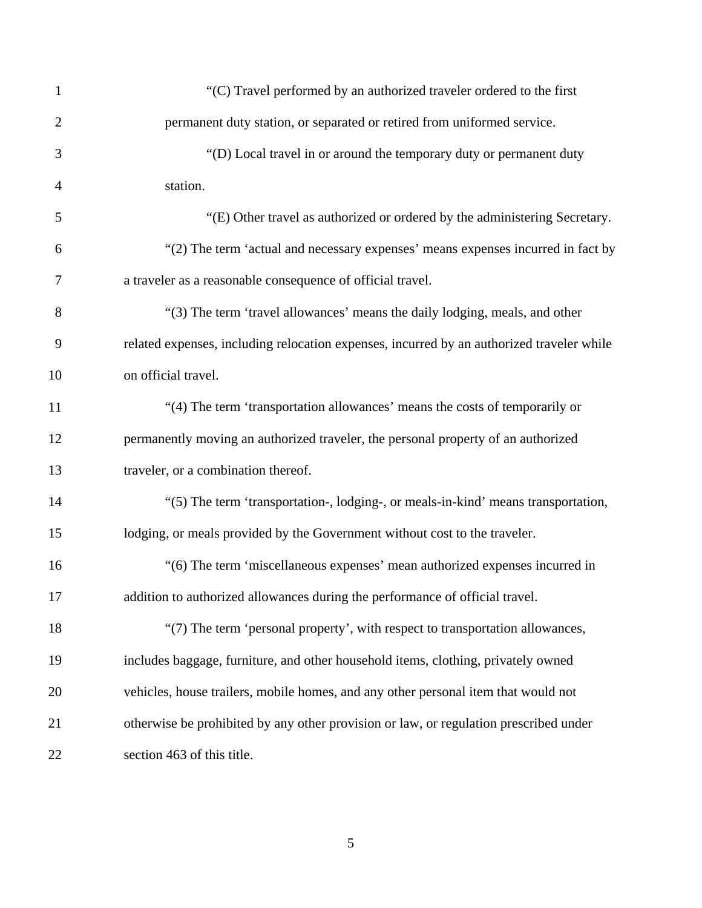| $\mathbf{1}$   | "(C) Travel performed by an authorized traveler ordered to the first                      |
|----------------|-------------------------------------------------------------------------------------------|
| $\overline{2}$ | permanent duty station, or separated or retired from uniformed service.                   |
| 3              | "(D) Local travel in or around the temporary duty or permanent duty                       |
| $\overline{4}$ | station.                                                                                  |
| 5              | "(E) Other travel as authorized or ordered by the administering Secretary.                |
| 6              | "(2) The term 'actual and necessary expenses' means expenses incurred in fact by          |
| 7              | a traveler as a reasonable consequence of official travel.                                |
| 8              | "(3) The term 'travel allowances' means the daily lodging, meals, and other               |
| 9              | related expenses, including relocation expenses, incurred by an authorized traveler while |
| 10             | on official travel.                                                                       |
| 11             | "(4) The term 'transportation allowances' means the costs of temporarily or               |
| 12             | permanently moving an authorized traveler, the personal property of an authorized         |
| 13             | traveler, or a combination thereof.                                                       |
| 14             | "(5) The term 'transportation-, lodging-, or meals-in-kind' means transportation,         |
| 15             | lodging, or meals provided by the Government without cost to the traveler.                |
| 16             | "(6) The term 'miscellaneous expenses' mean authorized expenses incurred in               |
| 17             | addition to authorized allowances during the performance of official travel.              |
| 18             | "(7) The term 'personal property', with respect to transportation allowances,             |
| 19             | includes baggage, furniture, and other household items, clothing, privately owned         |
| 20             | vehicles, house trailers, mobile homes, and any other personal item that would not        |
| 21             | otherwise be prohibited by any other provision or law, or regulation prescribed under     |
| 22             | section 463 of this title.                                                                |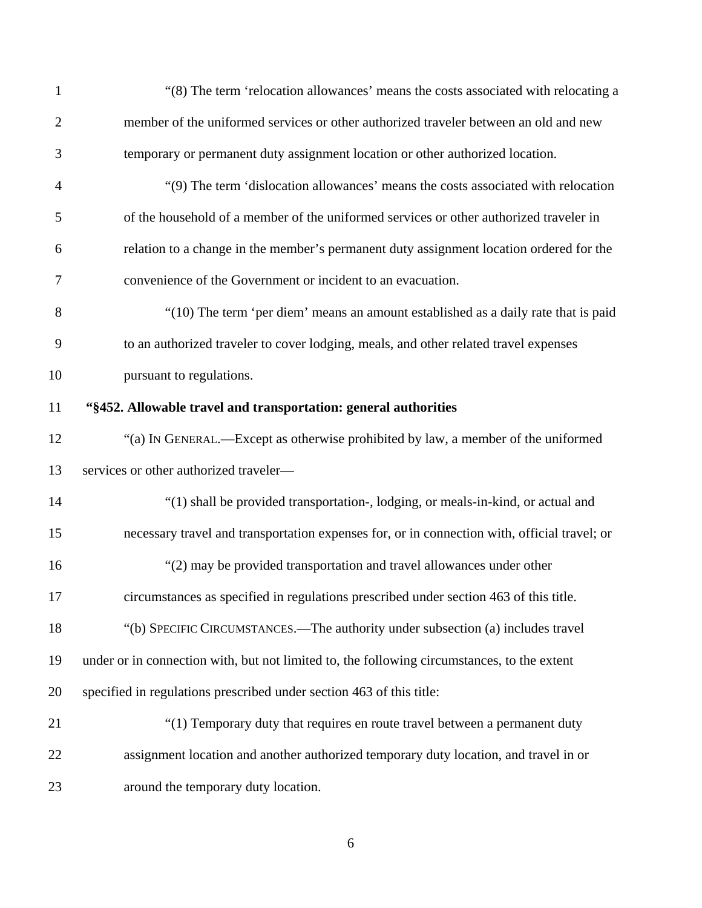| $\mathbf{1}$   | "(8) The term 'relocation allowances' means the costs associated with relocating a           |
|----------------|----------------------------------------------------------------------------------------------|
| $\overline{2}$ | member of the uniformed services or other authorized traveler between an old and new         |
| 3              | temporary or permanent duty assignment location or other authorized location.                |
| $\overline{4}$ | "(9) The term 'dislocation allowances' means the costs associated with relocation            |
| 5              | of the household of a member of the uniformed services or other authorized traveler in       |
| 6              | relation to a change in the member's permanent duty assignment location ordered for the      |
| 7              | convenience of the Government or incident to an evacuation.                                  |
| 8              | "(10) The term 'per diem' means an amount established as a daily rate that is paid           |
| 9              | to an authorized traveler to cover lodging, meals, and other related travel expenses         |
| 10             | pursuant to regulations.                                                                     |
| 11             | "§452. Allowable travel and transportation: general authorities                              |
| 12             | "(a) IN GENERAL.—Except as otherwise prohibited by law, a member of the uniformed            |
| 13             | services or other authorized traveler-                                                       |
| 14             | "(1) shall be provided transportation-, lodging, or meals-in-kind, or actual and             |
| 15             | necessary travel and transportation expenses for, or in connection with, official travel; or |
| 16             | "(2) may be provided transportation and travel allowances under other                        |
| 17             | circumstances as specified in regulations prescribed under section 463 of this title.        |
| 18             | "(b) SPECIFIC CIRCUMSTANCES.—The authority under subsection (a) includes travel              |
| 19             | under or in connection with, but not limited to, the following circumstances, to the extent  |
| 20             | specified in regulations prescribed under section 463 of this title:                         |
| 21             | "(1) Temporary duty that requires en route travel between a permanent duty                   |
| 22             | assignment location and another authorized temporary duty location, and travel in or         |
| 23             | around the temporary duty location.                                                          |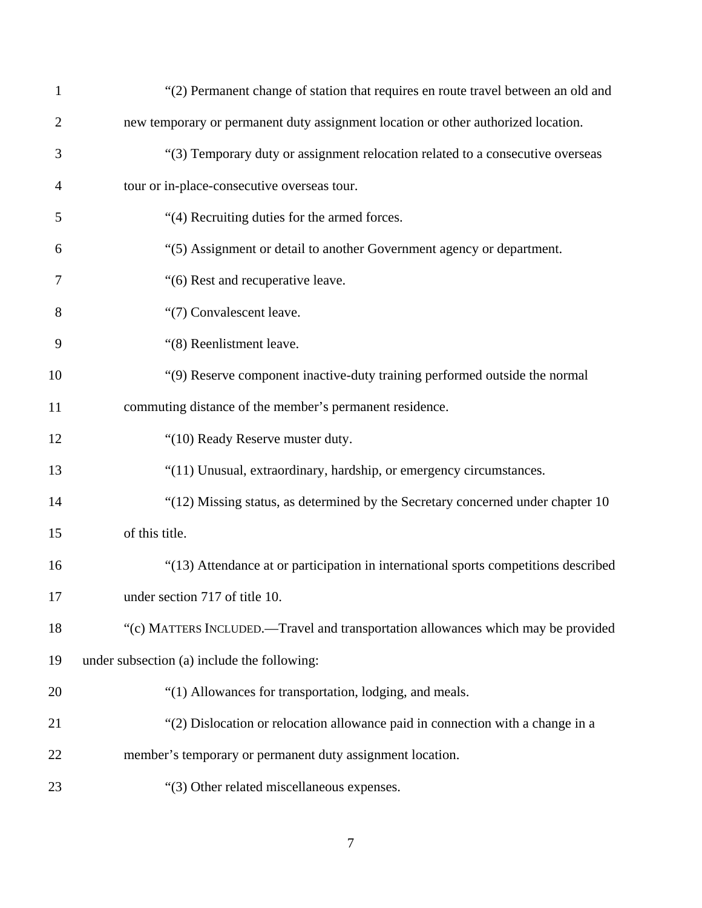| $\mathbf{1}$   | "(2) Permanent change of station that requires en route travel between an old and   |
|----------------|-------------------------------------------------------------------------------------|
| $\overline{c}$ | new temporary or permanent duty assignment location or other authorized location.   |
| 3              | "(3) Temporary duty or assignment relocation related to a consecutive overseas      |
| 4              | tour or in-place-consecutive overseas tour.                                         |
| 5              | "(4) Recruiting duties for the armed forces.                                        |
| 6              | "(5) Assignment or detail to another Government agency or department.               |
| 7              | "(6) Rest and recuperative leave.                                                   |
| 8              | "(7) Convalescent leave.                                                            |
| 9              | "(8) Reenlistment leave.                                                            |
| 10             | "(9) Reserve component inactive-duty training performed outside the normal          |
| 11             | commuting distance of the member's permanent residence.                             |
| 12             | "(10) Ready Reserve muster duty.                                                    |
| 13             | "(11) Unusual, extraordinary, hardship, or emergency circumstances.                 |
| 14             | "(12) Missing status, as determined by the Secretary concerned under chapter 10     |
| 15             | of this title.                                                                      |
| 16             | "(13) Attendance at or participation in international sports competitions described |
| 17             | under section 717 of title 10.                                                      |
| 18             | "(c) MATTERS INCLUDED.—Travel and transportation allowances which may be provided   |
| 19             | under subsection (a) include the following:                                         |
| 20             | "(1) Allowances for transportation, lodging, and meals.                             |
| 21             | "(2) Dislocation or relocation allowance paid in connection with a change in a      |
| 22             | member's temporary or permanent duty assignment location.                           |
| 23             | "(3) Other related miscellaneous expenses.                                          |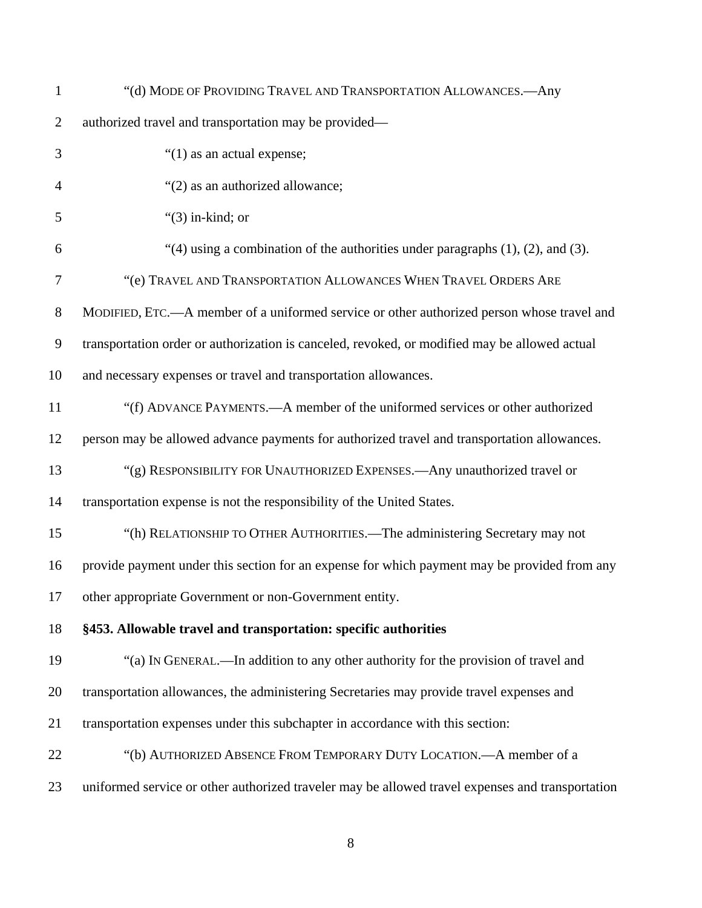| $\mathbf{1}$   | "(d) MODE OF PROVIDING TRAVEL AND TRANSPORTATION ALLOWANCES.- Any                                |
|----------------|--------------------------------------------------------------------------------------------------|
| $\overline{2}$ | authorized travel and transportation may be provided—                                            |
| 3              | " $(1)$ as an actual expense;                                                                    |
| 4              | "(2) as an authorized allowance;                                                                 |
| 5              | " $(3)$ in-kind; or                                                                              |
| 6              | "(4) using a combination of the authorities under paragraphs $(1)$ , $(2)$ , and $(3)$ .         |
| 7              | "(e) TRAVEL AND TRANSPORTATION ALLOWANCES WHEN TRAVEL ORDERS ARE                                 |
| 8              | MODIFIED, ETC.—A member of a uniformed service or other authorized person whose travel and       |
| 9              | transportation order or authorization is canceled, revoked, or modified may be allowed actual    |
| 10             | and necessary expenses or travel and transportation allowances.                                  |
| 11             | "(f) ADVANCE PAYMENTS.—A member of the uniformed services or other authorized                    |
| 12             | person may be allowed advance payments for authorized travel and transportation allowances.      |
| 13             | "(g) RESPONSIBILITY FOR UNAUTHORIZED EXPENSES.- Any unauthorized travel or                       |
| 14             | transportation expense is not the responsibility of the United States.                           |
| 15             | "(h) RELATIONSHIP TO OTHER AUTHORITIES.—The administering Secretary may not                      |
| 16             | provide payment under this section for an expense for which payment may be provided from any     |
| 17             | other appropriate Government or non-Government entity.                                           |
| 18             | §453. Allowable travel and transportation: specific authorities                                  |
| 19             | "(a) IN GENERAL.—In addition to any other authority for the provision of travel and              |
| 20             | transportation allowances, the administering Secretaries may provide travel expenses and         |
| 21             | transportation expenses under this subchapter in accordance with this section:                   |
| 22             | "(b) AUTHORIZED ABSENCE FROM TEMPORARY DUTY LOCATION.—A member of a                              |
| 23             | uniformed service or other authorized traveler may be allowed travel expenses and transportation |
|                |                                                                                                  |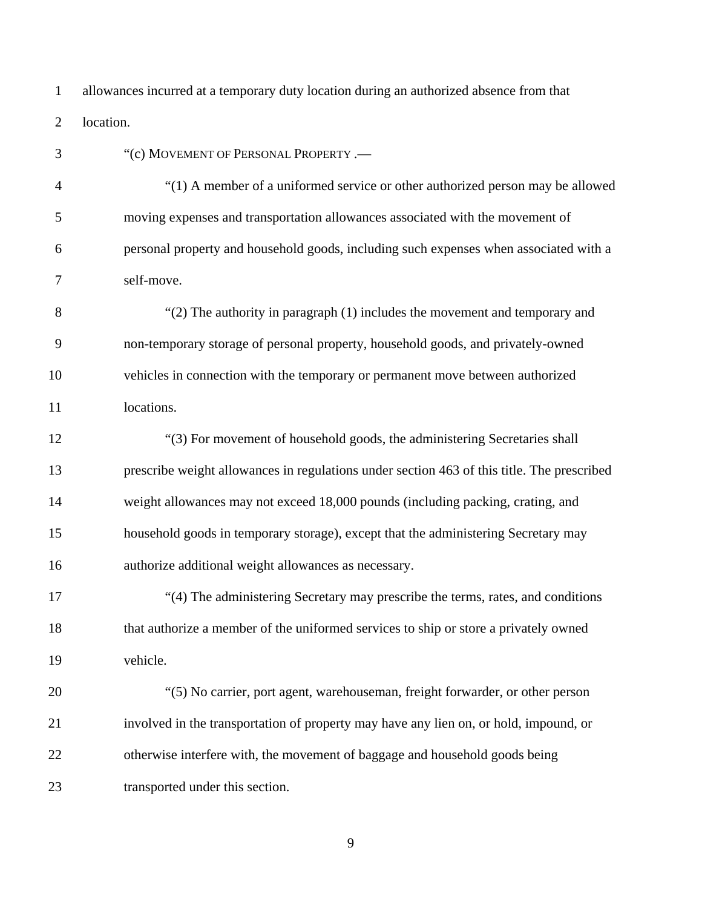1 2 allowances incurred at a temporary duty location during an authorized absence from that location.

3 4 5 6 7 8 9 10 11 12 13 14 15 16 17 18 19 20 21 22 23 "(c) MOVEMENT OF PERSONAL PROPERTY .— "(1) A member of a uniformed service or other authorized person may be allowed moving expenses and transportation allowances associated with the movement of personal property and household goods, including such expenses when associated with a self-move. "(2) The authority in paragraph (1) includes the movement and temporary and non-temporary storage of personal property, household goods, and privately-owned vehicles in connection with the temporary or permanent move between authorized locations. "(3) For movement of household goods, the administering Secretaries shall prescribe weight allowances in regulations under section 463 of this title. The prescribed weight allowances may not exceed 18,000 pounds (including packing, crating, and household goods in temporary storage), except that the administering Secretary may authorize additional weight allowances as necessary. "(4) The administering Secretary may prescribe the terms, rates, and conditions that authorize a member of the uniformed services to ship or store a privately owned vehicle. "(5) No carrier, port agent, warehouseman, freight forwarder, or other person involved in the transportation of property may have any lien on, or hold, impound, or otherwise interfere with, the movement of baggage and household goods being transported under this section.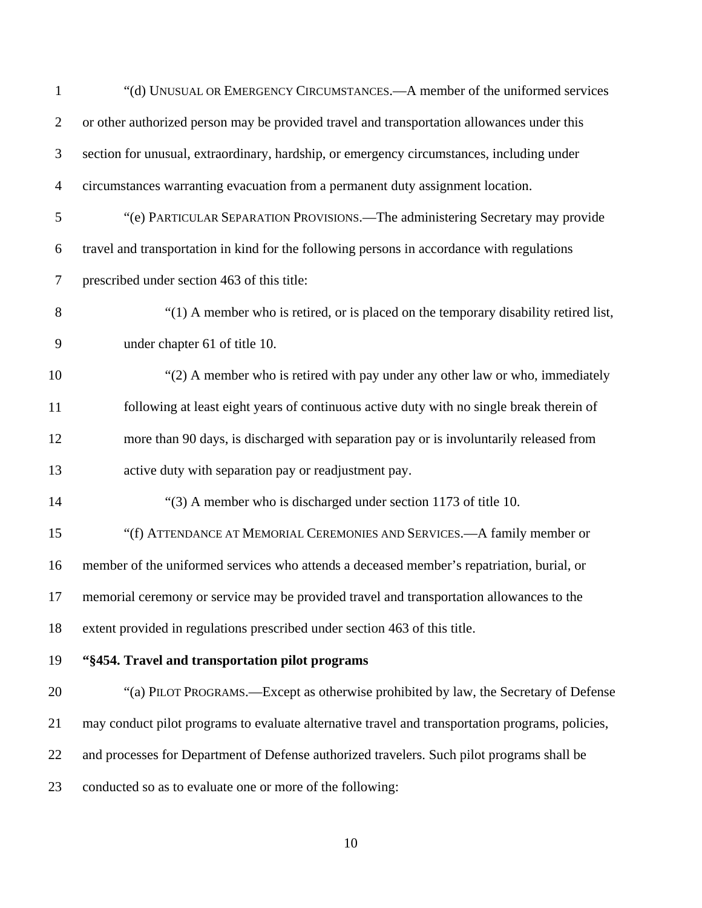| $\mathbf{1}$   | "(d) UNUSUAL OR EMERGENCY CIRCUMSTANCES.—A member of the uniformed services                      |
|----------------|--------------------------------------------------------------------------------------------------|
| $\overline{2}$ | or other authorized person may be provided travel and transportation allowances under this       |
| 3              | section for unusual, extraordinary, hardship, or emergency circumstances, including under        |
| $\overline{4}$ | circumstances warranting evacuation from a permanent duty assignment location.                   |
| 5              | "(e) PARTICULAR SEPARATION PROVISIONS.—The administering Secretary may provide                   |
| 6              | travel and transportation in kind for the following persons in accordance with regulations       |
| 7              | prescribed under section 463 of this title:                                                      |
| 8              | "(1) A member who is retired, or is placed on the temporary disability retired list,             |
| 9              | under chapter 61 of title 10.                                                                    |
| 10             | "(2) A member who is retired with pay under any other law or who, immediately                    |
| 11             | following at least eight years of continuous active duty with no single break therein of         |
| 12             | more than 90 days, is discharged with separation pay or is involuntarily released from           |
| 13             | active duty with separation pay or readjustment pay.                                             |
| 14             | "(3) A member who is discharged under section 1173 of title 10.                                  |
| 15             | "(f) ATTENDANCE AT MEMORIAL CEREMONIES AND SERVICES.—A family member or                          |
| 16             | member of the uniformed services who attends a deceased member's repatriation, burial, or        |
| 17             | memorial ceremony or service may be provided travel and transportation allowances to the         |
| 18             | extent provided in regulations prescribed under section 463 of this title.                       |
| 19             | "§454. Travel and transportation pilot programs                                                  |
| 20             | "(a) PILOT PROGRAMS.—Except as otherwise prohibited by law, the Secretary of Defense             |
| 21             | may conduct pilot programs to evaluate alternative travel and transportation programs, policies, |
| 22             | and processes for Department of Defense authorized travelers. Such pilot programs shall be       |
| 23             | conducted so as to evaluate one or more of the following:                                        |
|                |                                                                                                  |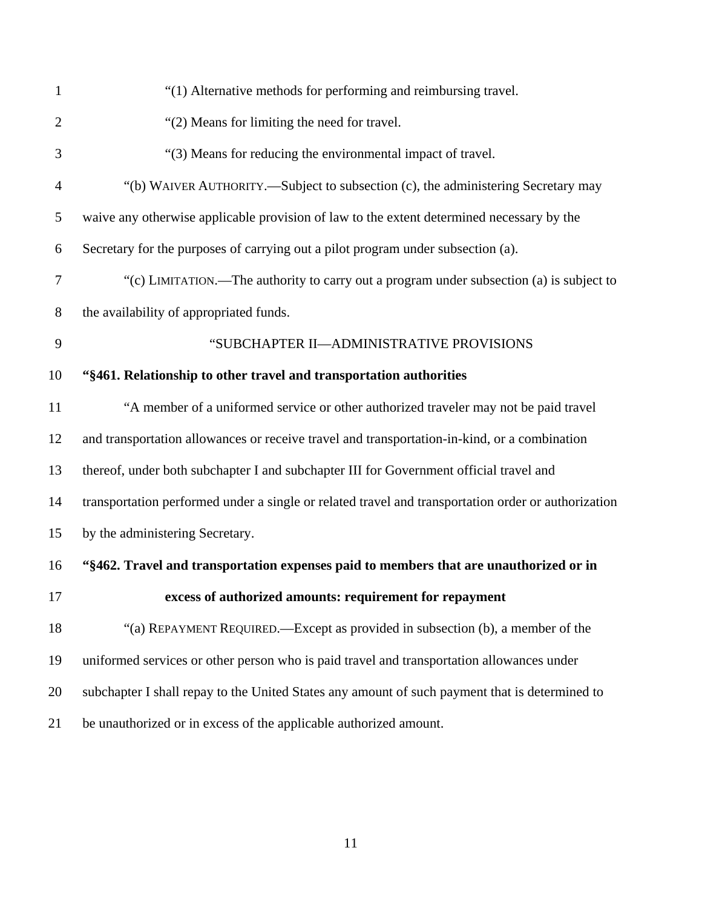| $\mathbf{1}$   | "(1) Alternative methods for performing and reimbursing travel.                                     |
|----------------|-----------------------------------------------------------------------------------------------------|
| $\overline{2}$ | "(2) Means for limiting the need for travel.                                                        |
| 3              | "(3) Means for reducing the environmental impact of travel.                                         |
| $\overline{4}$ | "(b) WAIVER AUTHORITY.—Subject to subsection (c), the administering Secretary may                   |
| 5              | waive any otherwise applicable provision of law to the extent determined necessary by the           |
| 6              | Secretary for the purposes of carrying out a pilot program under subsection (a).                    |
| 7              | "(c) LIMITATION.—The authority to carry out a program under subsection (a) is subject to            |
| 8              | the availability of appropriated funds.                                                             |
| 9              | "SUBCHAPTER II-ADMINISTRATIVE PROVISIONS                                                            |
| 10             | "§461. Relationship to other travel and transportation authorities                                  |
| 11             | "A member of a uniformed service or other authorized traveler may not be paid travel                |
| 12             | and transportation allowances or receive travel and transportation-in-kind, or a combination        |
| 13             | thereof, under both subchapter I and subchapter III for Government official travel and              |
| 14             | transportation performed under a single or related travel and transportation order or authorization |
| 15             | by the administering Secretary.                                                                     |
| 16             | "§462. Travel and transportation expenses paid to members that are unauthorized or in               |
| 17             | excess of authorized amounts: requirement for repayment                                             |
| 18             | "(a) REPAYMENT REQUIRED.—Except as provided in subsection (b), a member of the                      |
| 19             | uniformed services or other person who is paid travel and transportation allowances under           |
| 20             | subchapter I shall repay to the United States any amount of such payment that is determined to      |
| 21             | be unauthorized or in excess of the applicable authorized amount.                                   |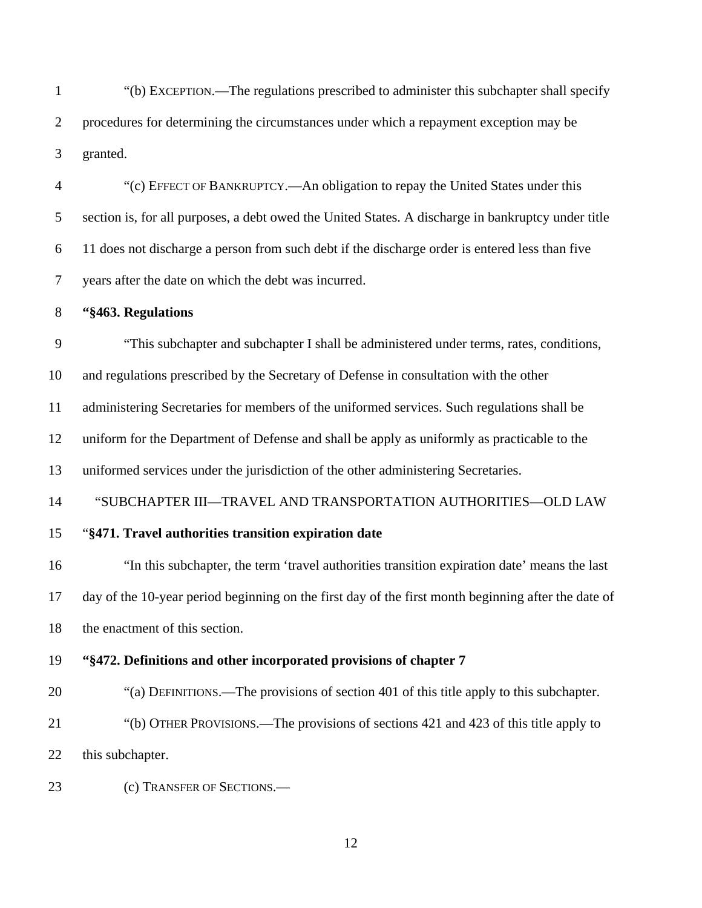1 2 3 "(b) EXCEPTION.—The regulations prescribed to administer this subchapter shall specify procedures for determining the circumstances under which a repayment exception may be granted.

4 5 6 7 "(c) EFFECT OF BANKRUPTCY.—An obligation to repay the United States under this section is, for all purposes, a debt owed the United States. A discharge in bankruptcy under title 11 does not discharge a person from such debt if the discharge order is entered less than five years after the date on which the debt was incurred.

#### 8 **"§463. Regulations**

9 "This subchapter and subchapter I shall be administered under terms, rates, conditions,

10 and regulations prescribed by the Secretary of Defense in consultation with the other

11 administering Secretaries for members of the uniformed services. Such regulations shall be

12 uniform for the Department of Defense and shall be apply as uniformly as practicable to the

13 uniformed services under the jurisdiction of the other administering Secretaries.

14 "SUBCHAPTER III—TRAVEL AND TRANSPORTATION AUTHORITIES—OLD LAW

#### 15 "**§471. Travel authorities transition expiration date**

16 17 18 "In this subchapter, the term 'travel authorities transition expiration date' means the last day of the 10-year period beginning on the first day of the first month beginning after the date of the enactment of this section.

#### 19 **"§472. Definitions and other incorporated provisions of chapter 7**

- 20 "(a) DEFINITIONS.—The provisions of section 401 of this title apply to this subchapter.
- 21 22 "(b) OTHER PROVISIONS.—The provisions of sections 421 and 423 of this title apply to this subchapter.
- 23 (c) TRANSFER OF SECTIONS.—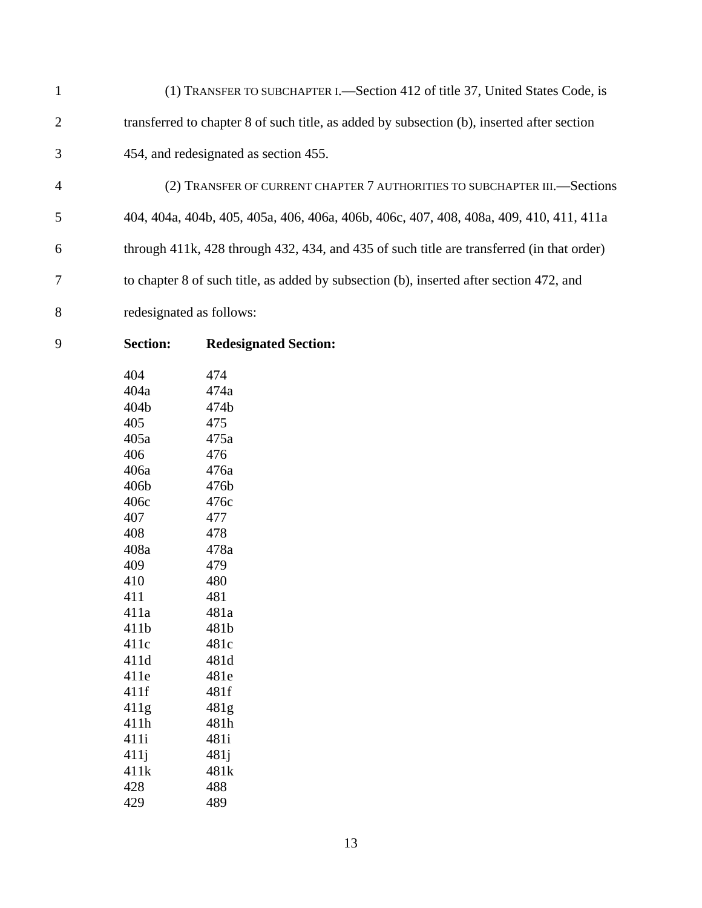1 2 3 (1) TRANSFER TO SUBCHAPTER I.—Section 412 of title 37, United States Code, is transferred to chapter 8 of such title, as added by subsection (b), inserted after section 454, and redesignated as section 455.

4 5 6 7 8 (2) TRANSFER OF CURRENT CHAPTER 7 AUTHORITIES TO SUBCHAPTER III.—Sections 404, 404a, 404b, 405, 405a, 406, 406a, 406b, 406c, 407, 408, 408a, 409, 410, 411, 411a through 411k, 428 through 432, 434, and 435 of such title are transferred (in that order) to chapter 8 of such title, as added by subsection (b), inserted after section 472, and redesignated as follows:

9

### **Section: Redesignated Section:**

| 404  | 474              |
|------|------------------|
| 404a | 474a             |
| 404b | 474b             |
| 405  | 475              |
| 405a | 475a             |
| 406  | 476              |
| 406a | 476a             |
| 406b | 476b             |
| 406c | 476c             |
| 407  | 477              |
| 408  | 478              |
| 408a | 478a             |
| 409  | 479              |
| 410  | 480              |
| 411  | 481              |
| 411a | 481a             |
| 411b | 481b             |
| 411c | 481c             |
| 411d | 481d             |
| 411e | 481e             |
| 411f | 481f             |
| 411g | 481g             |
| 411h | 481h             |
| 411i | 481i             |
| 411j | 481 <sub>i</sub> |
| 411k | 481k             |
| 428  | 488              |
| 429  | 489              |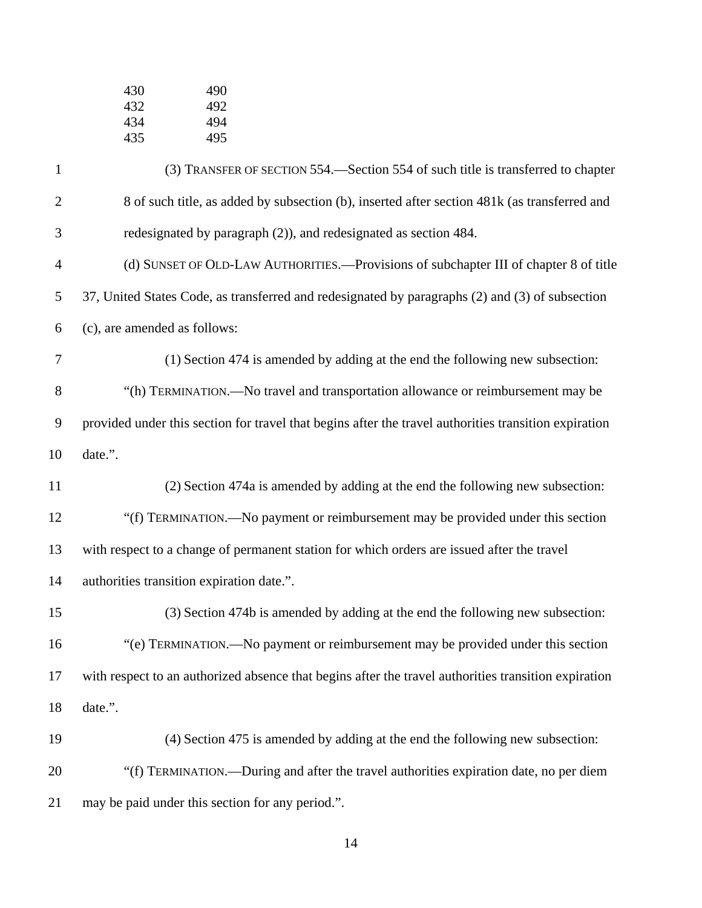| 430 | 490 |
|-----|-----|
| 432 | 492 |
| 434 | 494 |
| 435 | 495 |

| $\mathbf{1}$   | (3) TRANSFER OF SECTION 554.—Section 554 of such title is transferred to chapter                      |
|----------------|-------------------------------------------------------------------------------------------------------|
| $\mathbf{2}$   | 8 of such title, as added by subsection (b), inserted after section 481k (as transferred and          |
| 3              | redesignated by paragraph (2)), and redesignated as section 484.                                      |
| $\overline{4}$ | (d) SUNSET OF OLD-LAW AUTHORITIES.—Provisions of subchapter III of chapter 8 of title                 |
| 5              | 37, United States Code, as transferred and redesignated by paragraphs (2) and (3) of subsection       |
| 6              | (c), are amended as follows:                                                                          |
| 7              | (1) Section 474 is amended by adding at the end the following new subsection:                         |
| $8\,$          | "(h) TERMINATION.—No travel and transportation allowance or reimbursement may be                      |
| $\overline{9}$ | provided under this section for travel that begins after the travel authorities transition expiration |
| 10             | date.".                                                                                               |
| 11             | (2) Section 474a is amended by adding at the end the following new subsection:                        |
| 12             | "(f) TERMINATION.—No payment or reimbursement may be provided under this section                      |
| 13             | with respect to a change of permanent station for which orders are issued after the travel            |
| 14             | authorities transition expiration date.".                                                             |
| 15             | (3) Section 474b is amended by adding at the end the following new subsection:                        |
| 16             | "(e) TERMINATION.—No payment or reimbursement may be provided under this section                      |
| 17             | with respect to an authorized absence that begins after the travel authorities transition expiration  |
| 18             | date.".                                                                                               |
| 19             | (4) Section 475 is amended by adding at the end the following new subsection:                         |
| 20             | "(f) TERMINATION.—During and after the travel authorities expiration date, no per diem                |
| 21             | may be paid under this section for any period.".                                                      |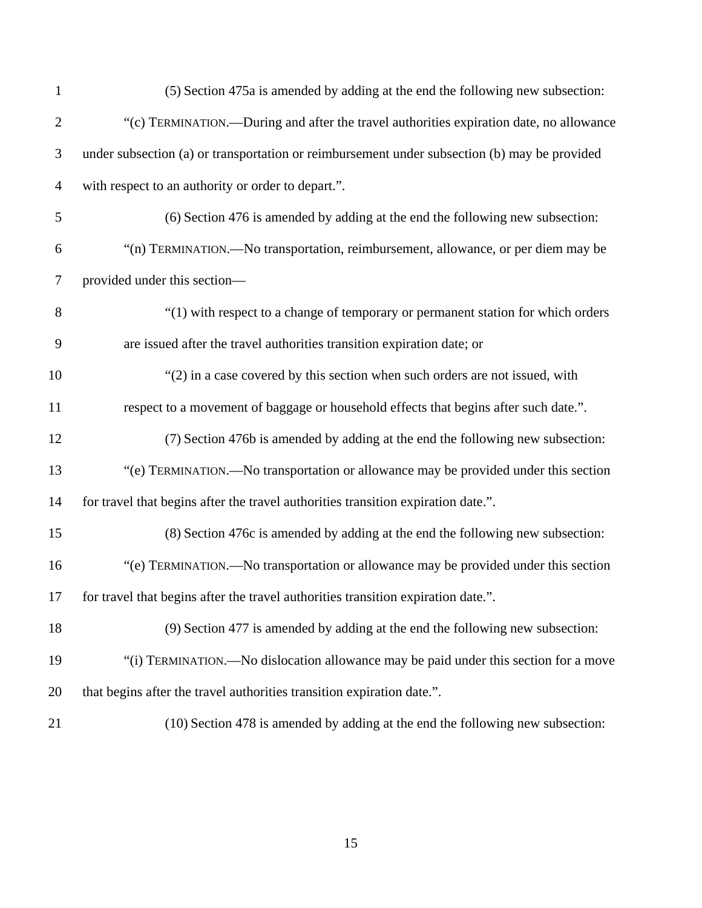| $\mathbf{1}$   | (5) Section 475a is amended by adding at the end the following new subsection:               |
|----------------|----------------------------------------------------------------------------------------------|
| $\mathbf{2}$   | "(c) TERMINATION.—During and after the travel authorities expiration date, no allowance      |
| 3              | under subsection (a) or transportation or reimbursement under subsection (b) may be provided |
| $\overline{4}$ | with respect to an authority or order to depart.".                                           |
| 5              | (6) Section 476 is amended by adding at the end the following new subsection:                |
| 6              | "(n) TERMINATION.—No transportation, reimbursement, allowance, or per diem may be            |
| 7              | provided under this section-                                                                 |
| $8\,$          | "(1) with respect to a change of temporary or permanent station for which orders             |
| 9              | are issued after the travel authorities transition expiration date; or                       |
| 10             | $\degree$ (2) in a case covered by this section when such orders are not issued, with        |
| 11             | respect to a movement of baggage or household effects that begins after such date.".         |
| 12             | (7) Section 476b is amended by adding at the end the following new subsection:               |
| 13             | "(e) TERMINATION.—No transportation or allowance may be provided under this section          |
| 14             | for travel that begins after the travel authorities transition expiration date.".            |
| 15             | (8) Section 476c is amended by adding at the end the following new subsection:               |
| 16             | "(e) TERMINATION.—No transportation or allowance may be provided under this section          |
| 17             | for travel that begins after the travel authorities transition expiration date.".            |
| 18             | (9) Section 477 is amended by adding at the end the following new subsection:                |
| 19             | "(i) TERMINATION.—No dislocation allowance may be paid under this section for a move         |
| 20             | that begins after the travel authorities transition expiration date.".                       |
| 21             | (10) Section 478 is amended by adding at the end the following new subsection:               |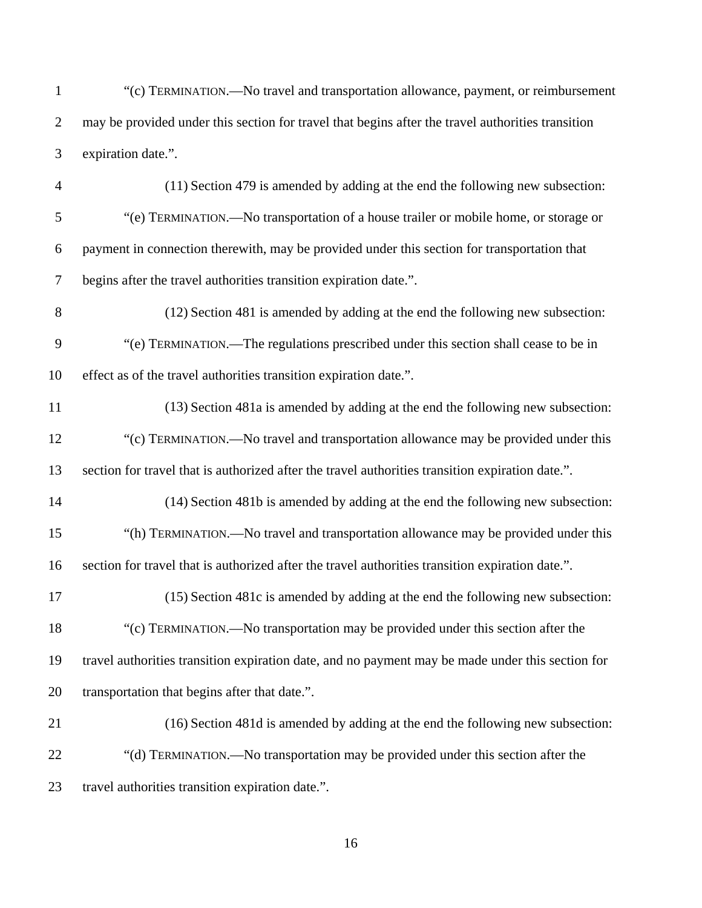| "(c) TERMINATION.—No travel and transportation allowance, payment, or reimbursement               |
|---------------------------------------------------------------------------------------------------|
| may be provided under this section for travel that begins after the travel authorities transition |
| expiration date.".                                                                                |

- 4 5 6 7 (11) Section 479 is amended by adding at the end the following new subsection: "(e) TERMINATION.—No transportation of a house trailer or mobile home, or storage or payment in connection therewith, may be provided under this section for transportation that begins after the travel authorities transition expiration date.".
- 8 9 10 (12) Section 481 is amended by adding at the end the following new subsection: "(e) TERMINATION.—The regulations prescribed under this section shall cease to be in effect as of the travel authorities transition expiration date.".
- 11 12 13 (13) Section 481a is amended by adding at the end the following new subsection: "(c) TERMINATION.—No travel and transportation allowance may be provided under this section for travel that is authorized after the travel authorities transition expiration date.".
- 14 15 16 (14) Section 481b is amended by adding at the end the following new subsection: "(h) TERMINATION.—No travel and transportation allowance may be provided under this section for travel that is authorized after the travel authorities transition expiration date.".
- 17 18 19 20 (15) Section 481c is amended by adding at the end the following new subsection: "(c) TERMINATION.—No transportation may be provided under this section after the travel authorities transition expiration date, and no payment may be made under this section for transportation that begins after that date.".
- 21 22 23 (16) Section 481d is amended by adding at the end the following new subsection: "(d) TERMINATION.—No transportation may be provided under this section after the travel authorities transition expiration date.".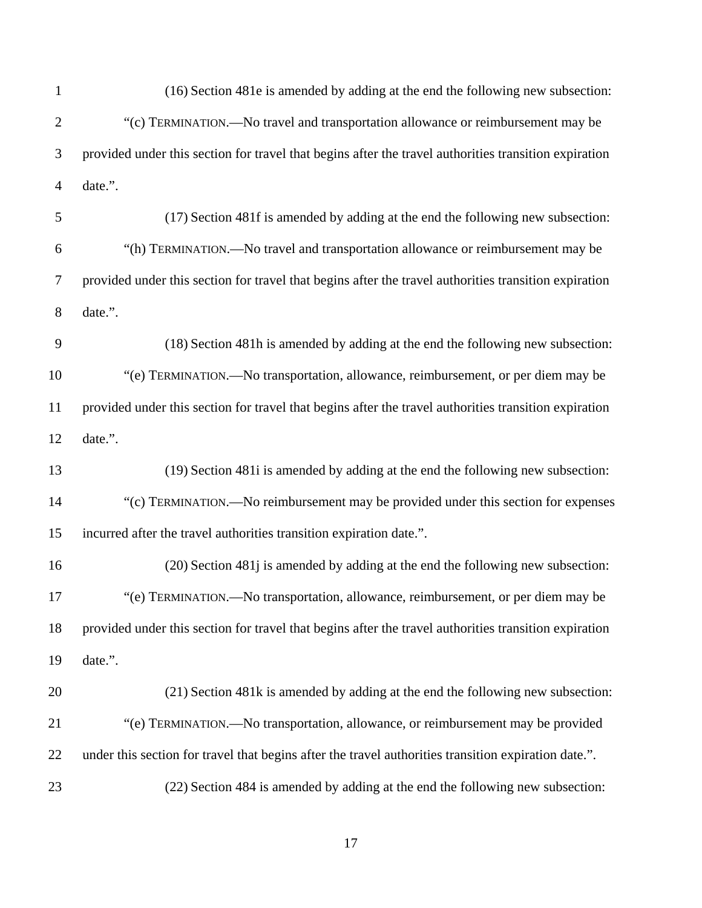| $\mathbf{1}$   | (16) Section 481e is amended by adding at the end the following new subsection:                       |
|----------------|-------------------------------------------------------------------------------------------------------|
| $\overline{2}$ | "(c) TERMINATION.—No travel and transportation allowance or reimbursement may be                      |
| 3              | provided under this section for travel that begins after the travel authorities transition expiration |
| $\overline{4}$ | date.".                                                                                               |
| 5              | (17) Section 481f is amended by adding at the end the following new subsection:                       |
| 6              | "(h) TERMINATION.—No travel and transportation allowance or reimbursement may be                      |
| 7              | provided under this section for travel that begins after the travel authorities transition expiration |
| $8\,$          | date.".                                                                                               |
| 9              | (18) Section 481h is amended by adding at the end the following new subsection:                       |
| 10             | "(e) TERMINATION.—No transportation, allowance, reimbursement, or per diem may be                     |
| 11             | provided under this section for travel that begins after the travel authorities transition expiration |
| 12             | date.".                                                                                               |
| 13             | (19) Section 481 is amended by adding at the end the following new subsection:                        |
| 14             | "(c) TERMINATION.—No reimbursement may be provided under this section for expenses                    |
| 15             | incurred after the travel authorities transition expiration date.".                                   |
| 16             | (20) Section 481 is amended by adding at the end the following new subsection:                        |
| 17             | "(e) TERMINATION.—No transportation, allowance, reimbursement, or per diem may be                     |
| 18             | provided under this section for travel that begins after the travel authorities transition expiration |
| 19             | date.".                                                                                               |
| 20             | (21) Section 481k is amended by adding at the end the following new subsection:                       |
| 21             | "(e) TERMINATION.—No transportation, allowance, or reimbursement may be provided                      |
| 22             | under this section for travel that begins after the travel authorities transition expiration date.".  |
| 23             | (22) Section 484 is amended by adding at the end the following new subsection:                        |
|                |                                                                                                       |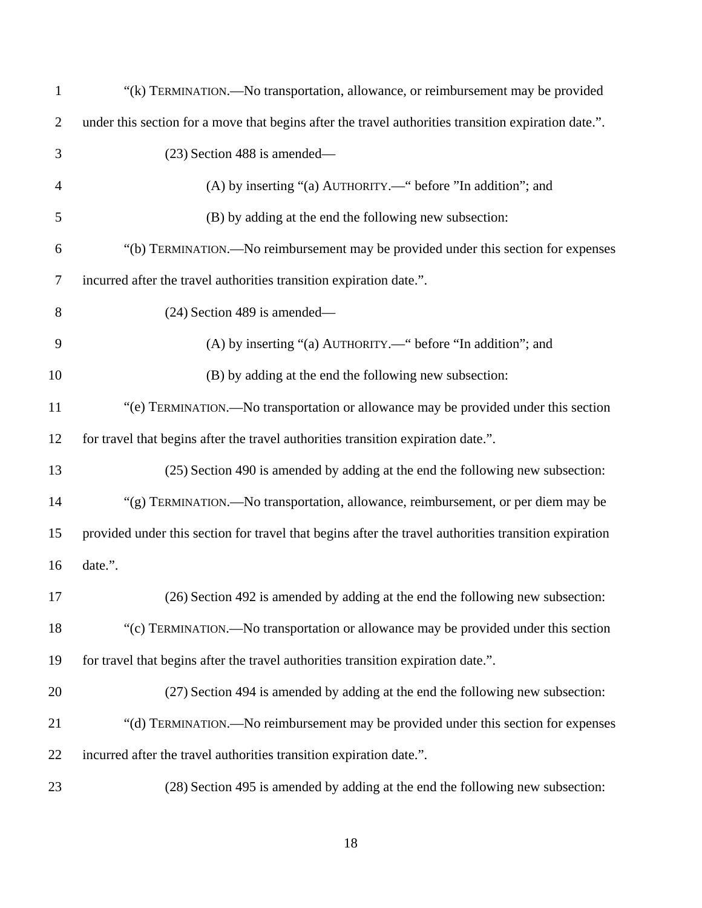| $\mathbf{1}$   | "(k) TERMINATION.—No transportation, allowance, or reimbursement may be provided                      |
|----------------|-------------------------------------------------------------------------------------------------------|
| $\overline{c}$ | under this section for a move that begins after the travel authorities transition expiration date.".  |
| 3              | (23) Section 488 is amended—                                                                          |
| 4              | (A) by inserting "(a) AUTHORITY.—" before "In addition"; and                                          |
| 5              | (B) by adding at the end the following new subsection:                                                |
| 6              | "(b) TERMINATION.—No reimbursement may be provided under this section for expenses                    |
| 7              | incurred after the travel authorities transition expiration date.".                                   |
| 8              | $(24)$ Section 489 is amended—                                                                        |
| 9              | (A) by inserting "(a) AUTHORITY.—" before "In addition"; and                                          |
| 10             | (B) by adding at the end the following new subsection:                                                |
| 11             | "(e) TERMINATION.—No transportation or allowance may be provided under this section                   |
| 12             | for travel that begins after the travel authorities transition expiration date.".                     |
| 13             | (25) Section 490 is amended by adding at the end the following new subsection:                        |
| 14             | "(g) TERMINATION.—No transportation, allowance, reimbursement, or per diem may be                     |
| 15             | provided under this section for travel that begins after the travel authorities transition expiration |
| 16             | date.".                                                                                               |
| 17             | (26) Section 492 is amended by adding at the end the following new subsection:                        |
| 18             | "(c) TERMINATION.—No transportation or allowance may be provided under this section                   |
| 19             | for travel that begins after the travel authorities transition expiration date.".                     |
| 20             | (27) Section 494 is amended by adding at the end the following new subsection:                        |
| 21             | "(d) TERMINATION.—No reimbursement may be provided under this section for expenses                    |
| 22             | incurred after the travel authorities transition expiration date.".                                   |
| 23             | (28) Section 495 is amended by adding at the end the following new subsection:                        |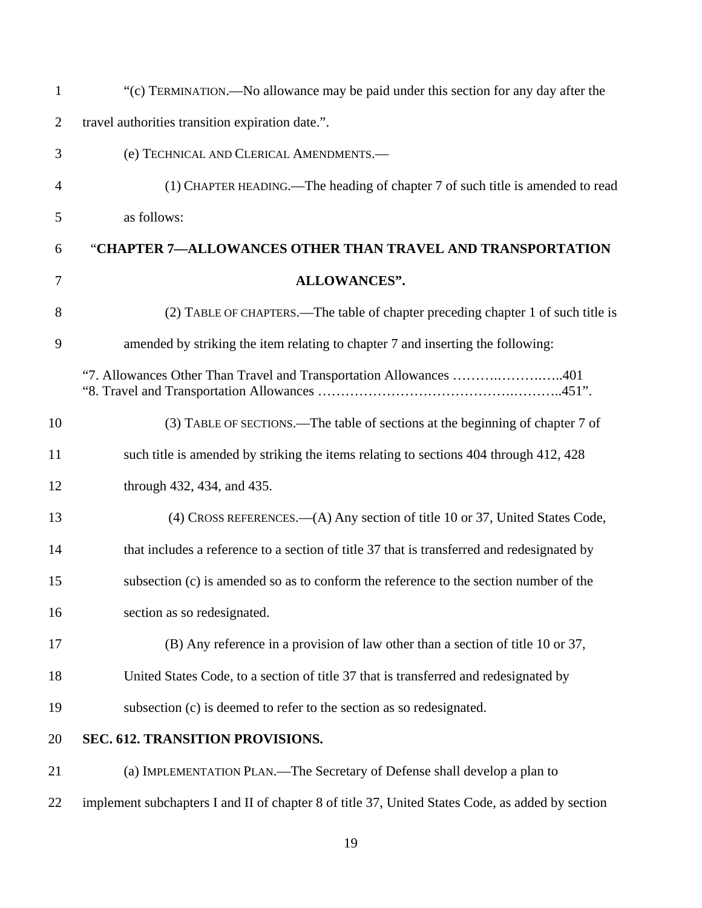| $\mathbf{1}$   | "(c) TERMINATION.—No allowance may be paid under this section for any day after the              |  |
|----------------|--------------------------------------------------------------------------------------------------|--|
| $\overline{2}$ | travel authorities transition expiration date.".                                                 |  |
| 3              | (e) TECHNICAL AND CLERICAL AMENDMENTS.-                                                          |  |
| 4              | (1) CHAPTER HEADING.—The heading of chapter 7 of such title is amended to read                   |  |
| 5              | as follows:                                                                                      |  |
| 6              | "CHAPTER 7—ALLOWANCES OTHER THAN TRAVEL AND TRANSPORTATION                                       |  |
| 7              | <b>ALLOWANCES".</b>                                                                              |  |
| 8              | (2) TABLE OF CHAPTERS.—The table of chapter preceding chapter 1 of such title is                 |  |
| 9              | amended by striking the item relating to chapter 7 and inserting the following:                  |  |
|                | "7. Allowances Other Than Travel and Transportation Allowances 401                               |  |
| 10             | (3) TABLE OF SECTIONS.—The table of sections at the beginning of chapter 7 of                    |  |
| 11             | such title is amended by striking the items relating to sections 404 through 412, 428            |  |
| 12             | through 432, 434, and 435.                                                                       |  |
| 13             | (4) CROSS REFERENCES.—(A) Any section of title 10 or 37, United States Code,                     |  |
| 14             | that includes a reference to a section of title 37 that is transferred and redesignated by       |  |
| 15             | subsection (c) is amended so as to conform the reference to the section number of the            |  |
| 16             | section as so redesignated.                                                                      |  |
| 17             | (B) Any reference in a provision of law other than a section of title 10 or 37,                  |  |
| 18             | United States Code, to a section of title 37 that is transferred and redesignated by             |  |
| 19             | subsection (c) is deemed to refer to the section as so redesignated.                             |  |
| 20             | SEC. 612. TRANSITION PROVISIONS.                                                                 |  |
| 21             | (a) IMPLEMENTATION PLAN.—The Secretary of Defense shall develop a plan to                        |  |
| 22             | implement subchapters I and II of chapter 8 of title 37, United States Code, as added by section |  |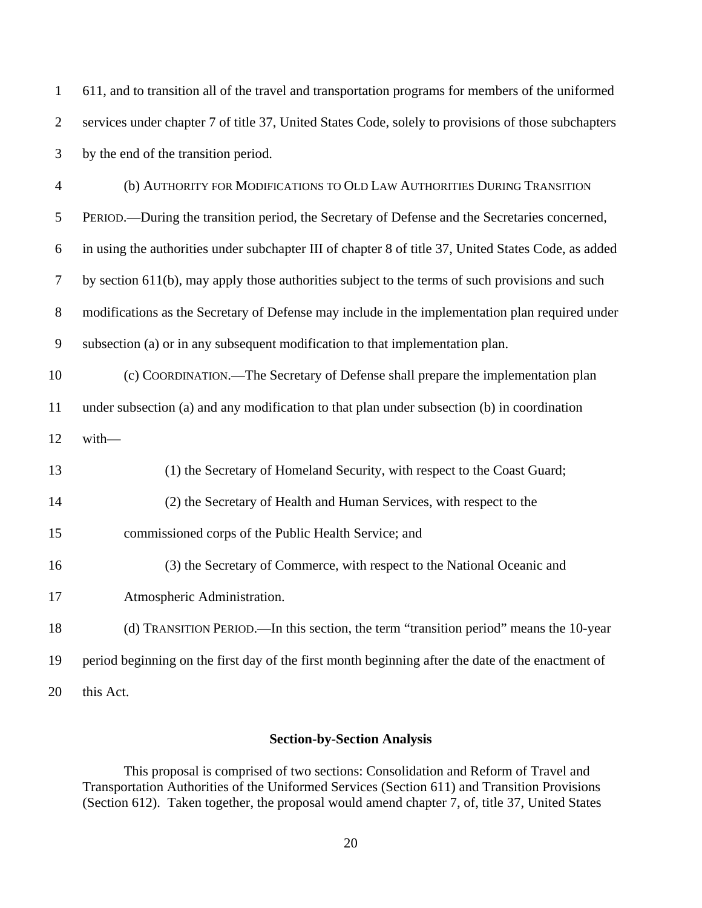| $\mathbf{1}$   | 611, and to transition all of the travel and transportation programs for members of the uniformed    |  |
|----------------|------------------------------------------------------------------------------------------------------|--|
| $\mathbf{2}$   | services under chapter 7 of title 37, United States Code, solely to provisions of those subchapters  |  |
| 3              | by the end of the transition period.                                                                 |  |
| $\overline{4}$ | (b) AUTHORITY FOR MODIFICATIONS TO OLD LAW AUTHORITIES DURING TRANSITION                             |  |
| 5              | PERIOD.—During the transition period, the Secretary of Defense and the Secretaries concerned,        |  |
| 6              | in using the authorities under subchapter III of chapter 8 of title 37, United States Code, as added |  |
| $\tau$         | by section 611(b), may apply those authorities subject to the terms of such provisions and such      |  |
| $8\,$          | modifications as the Secretary of Defense may include in the implementation plan required under      |  |
| 9              | subsection (a) or in any subsequent modification to that implementation plan.                        |  |
| 10             | (c) COORDINATION.—The Secretary of Defense shall prepare the implementation plan                     |  |
| 11             | under subsection (a) and any modification to that plan under subsection (b) in coordination          |  |
| 12             | with-                                                                                                |  |
| 13             | (1) the Secretary of Homeland Security, with respect to the Coast Guard;                             |  |
| 14             | (2) the Secretary of Health and Human Services, with respect to the                                  |  |
| 15             | commissioned corps of the Public Health Service; and                                                 |  |
| 16             | (3) the Secretary of Commerce, with respect to the National Oceanic and                              |  |
| 17             | Atmospheric Administration.                                                                          |  |
| 18             | (d) TRANSITION PERIOD.—In this section, the term "transition period" means the 10-year               |  |
| 19             | period beginning on the first day of the first month beginning after the date of the enactment of    |  |
| 20             | this Act.                                                                                            |  |

# **Section-by-Section Analysis**

This proposal is comprised of two sections: Consolidation and Reform of Travel and Transportation Authorities of the Uniformed Services (Section 611) and Transition Provisions (Section 612). Taken together, the proposal would amend chapter 7, of, title 37, United States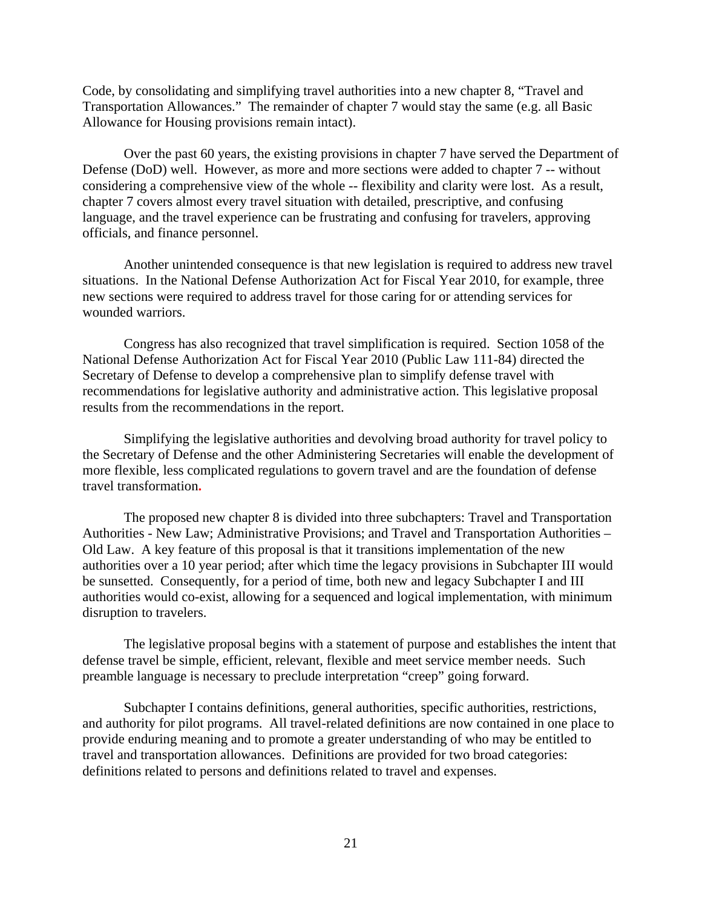Code, by consolidating and simplifying travel authorities into a new chapter 8, "Travel and Transportation Allowances." The remainder of chapter 7 would stay the same (e.g. all Basic Allowance for Housing provisions remain intact).

Over the past 60 years, the existing provisions in chapter 7 have served the Department of Defense (DoD) well. However, as more and more sections were added to chapter 7 -- without considering a comprehensive view of the whole -- flexibility and clarity were lost. As a result, chapter 7 covers almost every travel situation with detailed, prescriptive, and confusing language, and the travel experience can be frustrating and confusing for travelers, approving officials, and finance personnel.

Another unintended consequence is that new legislation is required to address new travel situations. In the National Defense Authorization Act for Fiscal Year 2010, for example, three new sections were required to address travel for those caring for or attending services for wounded warriors.

Congress has also recognized that travel simplification is required. Section 1058 of the National Defense Authorization Act for Fiscal Year 2010 (Public Law 111-84) directed the Secretary of Defense to develop a comprehensive plan to simplify defense travel with recommendations for legislative authority and administrative action. This legislative proposal results from the recommendations in the report.

 Simplifying the legislative authorities and devolving broad authority for travel policy to the Secretary of Defense and the other Administering Secretaries will enable the development of more flexible, less complicated regulations to govern travel and are the foundation of defense travel transformation**.** 

 The proposed new chapter 8 is divided into three subchapters: Travel and Transportation Authorities - New Law; Administrative Provisions; and Travel and Transportation Authorities – Old Law. A key feature of this proposal is that it transitions implementation of the new authorities over a 10 year period; after which time the legacy provisions in Subchapter III would be sunsetted. Consequently, for a period of time, both new and legacy Subchapter I and III authorities would co-exist, allowing for a sequenced and logical implementation, with minimum disruption to travelers.

The legislative proposal begins with a statement of purpose and establishes the intent that defense travel be simple, efficient, relevant, flexible and meet service member needs. Such preamble language is necessary to preclude interpretation "creep" going forward.

 Subchapter I contains definitions, general authorities, specific authorities, restrictions, and authority for pilot programs. All travel-related definitions are now contained in one place to provide enduring meaning and to promote a greater understanding of who may be entitled to travel and transportation allowances. Definitions are provided for two broad categories: definitions related to persons and definitions related to travel and expenses.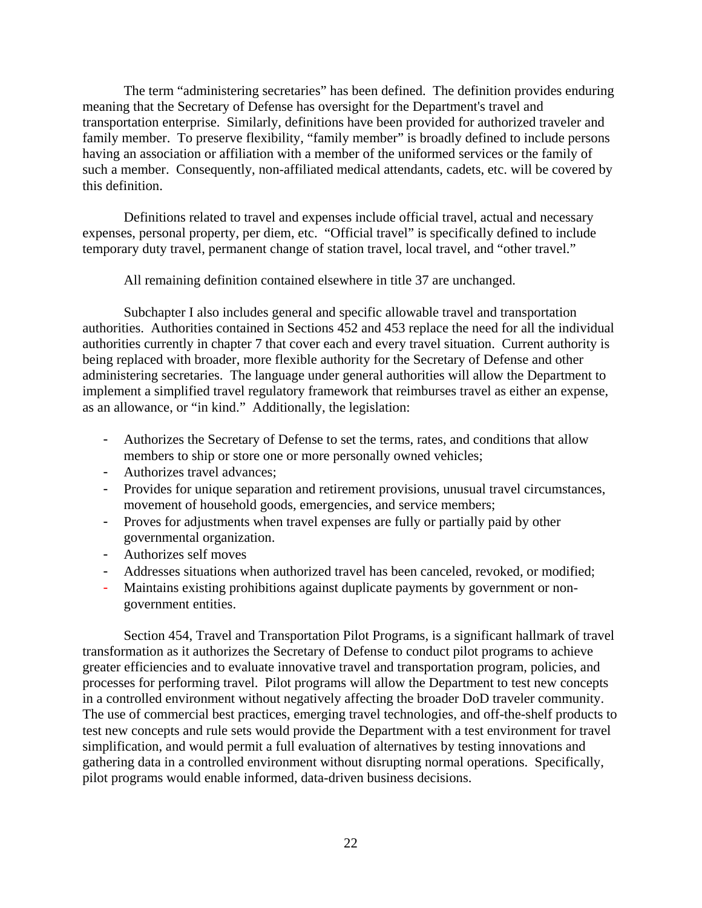The term "administering secretaries" has been defined. The definition provides enduring meaning that the Secretary of Defense has oversight for the Department's travel and transportation enterprise. Similarly, definitions have been provided for authorized traveler and family member. To preserve flexibility, "family member" is broadly defined to include persons having an association or affiliation with a member of the uniformed services or the family of such a member. Consequently, non-affiliated medical attendants, cadets, etc. will be covered by this definition.

Definitions related to travel and expenses include official travel, actual and necessary expenses, personal property, per diem, etc. "Official travel" is specifically defined to include temporary duty travel, permanent change of station travel, local travel, and "other travel."

All remaining definition contained elsewhere in title 37 are unchanged.

Subchapter I also includes general and specific allowable travel and transportation authorities. Authorities contained in Sections 452 and 453 replace the need for all the individual authorities currently in chapter 7 that cover each and every travel situation. Current authority is being replaced with broader, more flexible authority for the Secretary of Defense and other administering secretaries. The language under general authorities will allow the Department to implement a simplified travel regulatory framework that reimburses travel as either an expense, as an allowance, or "in kind." Additionally, the legislation:

- Authorizes the Secretary of Defense to set the terms, rates, and conditions that allow members to ship or store one or more personally owned vehicles;
- Authorizes travel advances;
- Provides for unique separation and retirement provisions, unusual travel circumstances, movement of household goods, emergencies, and service members;
- Proves for adjustments when travel expenses are fully or partially paid by other governmental organization.
- Authorizes self moves
- Addresses situations when authorized travel has been canceled, revoked, or modified;
- Maintains existing prohibitions against duplicate payments by government or nongovernment entities.

Section 454, Travel and Transportation Pilot Programs, is a significant hallmark of travel transformation as it authorizes the Secretary of Defense to conduct pilot programs to achieve greater efficiencies and to evaluate innovative travel and transportation program, policies, and processes for performing travel. Pilot programs will allow the Department to test new concepts in a controlled environment without negatively affecting the broader DoD traveler community. The use of commercial best practices, emerging travel technologies, and off-the-shelf products to test new concepts and rule sets would provide the Department with a test environment for travel simplification, and would permit a full evaluation of alternatives by testing innovations and gathering data in a controlled environment without disrupting normal operations. Specifically, pilot programs would enable informed, data-driven business decisions.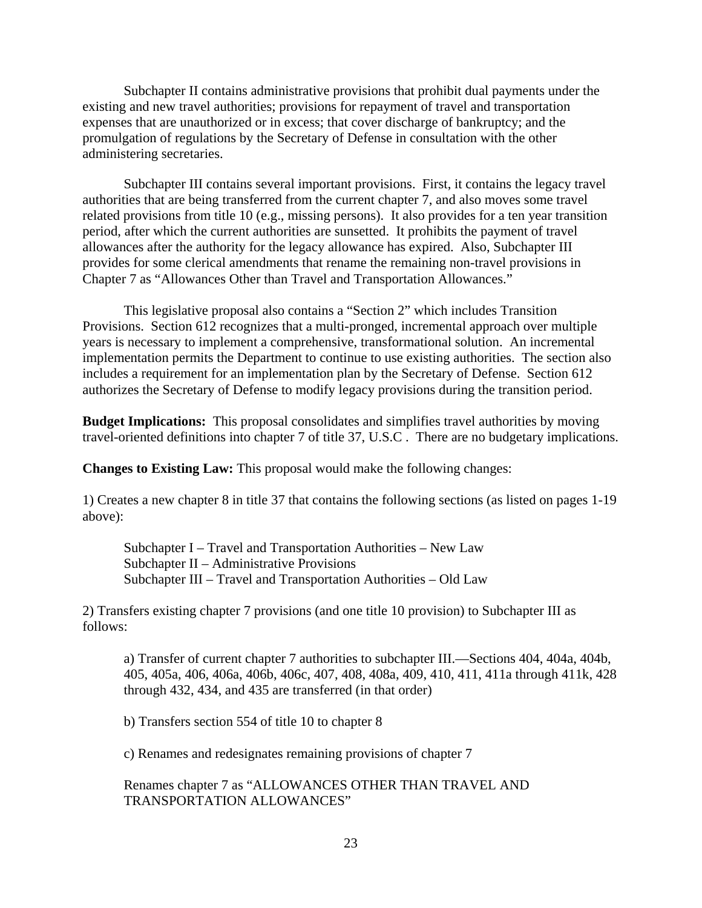Subchapter II contains administrative provisions that prohibit dual payments under the existing and new travel authorities; provisions for repayment of travel and transportation expenses that are unauthorized or in excess; that cover discharge of bankruptcy; and the promulgation of regulations by the Secretary of Defense in consultation with the other administering secretaries.

 Subchapter III contains several important provisions. First, it contains the legacy travel authorities that are being transferred from the current chapter 7, and also moves some travel related provisions from title 10 (e.g., missing persons). It also provides for a ten year transition period, after which the current authorities are sunsetted. It prohibits the payment of travel allowances after the authority for the legacy allowance has expired. Also, Subchapter III provides for some clerical amendments that rename the remaining non-travel provisions in Chapter 7 as "Allowances Other than Travel and Transportation Allowances."

 This legislative proposal also contains a "Section 2" which includes Transition Provisions. Section 612 recognizes that a multi-pronged, incremental approach over multiple years is necessary to implement a comprehensive, transformational solution. An incremental implementation permits the Department to continue to use existing authorities. The section also includes a requirement for an implementation plan by the Secretary of Defense. Section 612 authorizes the Secretary of Defense to modify legacy provisions during the transition period.

**Budget Implications:** This proposal consolidates and simplifies travel authorities by moving travel-oriented definitions into chapter 7 of title 37, U.S.C . There are no budgetary implications.

**Changes to Existing Law:** This proposal would make the following changes:

1) Creates a new chapter 8 in title 37 that contains the following sections (as listed on pages 1-19 above):

Subchapter I – Travel and Transportation Authorities – New Law Subchapter II – Administrative Provisions Subchapter III – Travel and Transportation Authorities – Old Law

2) Transfers existing chapter 7 provisions (and one title 10 provision) to Subchapter III as follows:

a) Transfer of current chapter 7 authorities to subchapter III.—Sections 404, 404a, 404b, 405, 405a, 406, 406a, 406b, 406c, 407, 408, 408a, 409, 410, 411, 411a through 411k, 428 through 432, 434, and 435 are transferred (in that order)

b) Transfers section 554 of title 10 to chapter 8

c) Renames and redesignates remaining provisions of chapter 7

Renames chapter 7 as "ALLOWANCES OTHER THAN TRAVEL AND TRANSPORTATION ALLOWANCES"